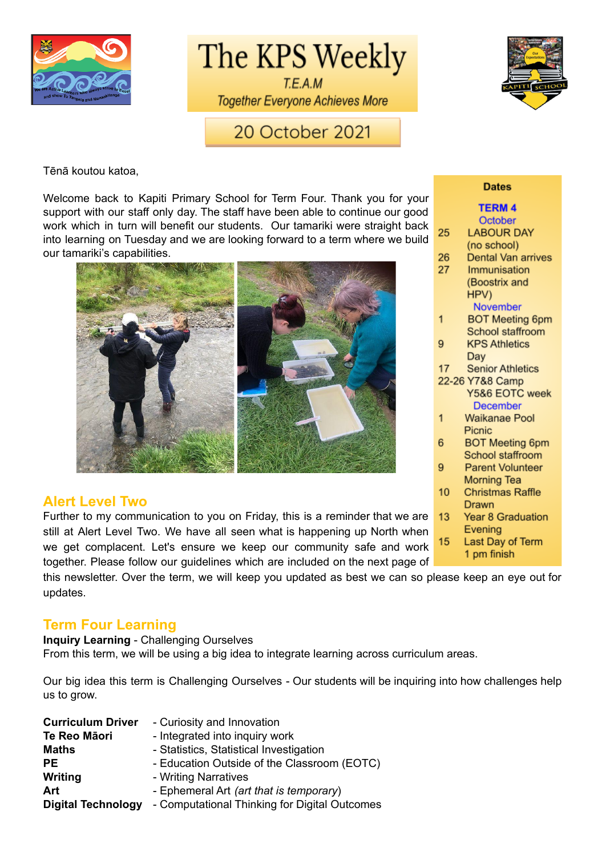

The KPS Weekly

T.E.A.M **Together Everyone Achieves More** 



20 October 2021

Tēnā koutou katoa,

Welcome back to Kapiti Primary School for Term Four. Thank you for your support with our staff only day. The staff have been able to continue our good work which in turn will benefit our students. Our tamariki were straight back into learning on Tuesday and we are looking forward to a term where we build our tamariki's capabilities.



#### **Alert Level Two**

Further to my communication to you on Friday, this is a reminder that we are still at Alert Level Two. We have all seen what is happening up North when we get complacent. Let's ensure we keep our community safe and work together. Please follow our guidelines which are included on the next page of

this newsletter. Over the term, we will keep you updated as best we can so please keep an eye out for updates.

#### **Term Four Learning**

**Inquiry Learning** - Challenging Ourselves From this term, we will be using a big idea to integrate learning across curriculum areas.

Our big idea this term is Challenging Ourselves - Our students will be inquiring into how challenges help us to grow.

| <b>Curriculum Driver</b>  | - Curiosity and Innovation                     |
|---------------------------|------------------------------------------------|
| Te Reo Māori              | - Integrated into inquiry work                 |
| <b>Maths</b>              | - Statistics, Statistical Investigation        |
| <b>PE</b>                 | - Education Outside of the Classroom (EOTC)    |
| Writing                   | - Writing Narratives                           |
| Art                       | - Ephemeral Art <i>(art that is temporary)</i> |
| <b>Digital Technology</b> | - Computational Thinking for Digital Outcomes  |

#### **Dates**

|                 | <b>TERM4</b>            |
|-----------------|-------------------------|
|                 | October                 |
| 25              | <b>LABOUR DAY</b>       |
|                 | (no school)             |
| 26              | Dental Van arrives      |
| 27              | Immunisation            |
|                 | (Boostrix and           |
|                 | HPV)                    |
|                 | <b>November</b>         |
| 1               | <b>BOT Meeting 6pm</b>  |
|                 | School staffroom        |
| 9               | <b>KPS Athletics</b>    |
|                 | Day                     |
| 17              | <b>Senior Athletics</b> |
| 22-26 Y7&8 Camp |                         |
|                 | Y5&6 EOTC week          |
|                 | <b>December</b>         |
| 1               | Waikanae Pool           |
|                 | Picnic                  |
| 6               | <b>BOT Meeting 6pm</b>  |
|                 | School staffroom        |
| 9               | <b>Parent Volunteer</b> |
|                 | Morning Tea             |
| 10              | <b>Christmas Raffle</b> |
|                 | Drawn                   |
| 13              | Year 8 Graduation       |
|                 | Evening                 |
| 15              | Last Day of Term        |
|                 | 1 nm finich.            |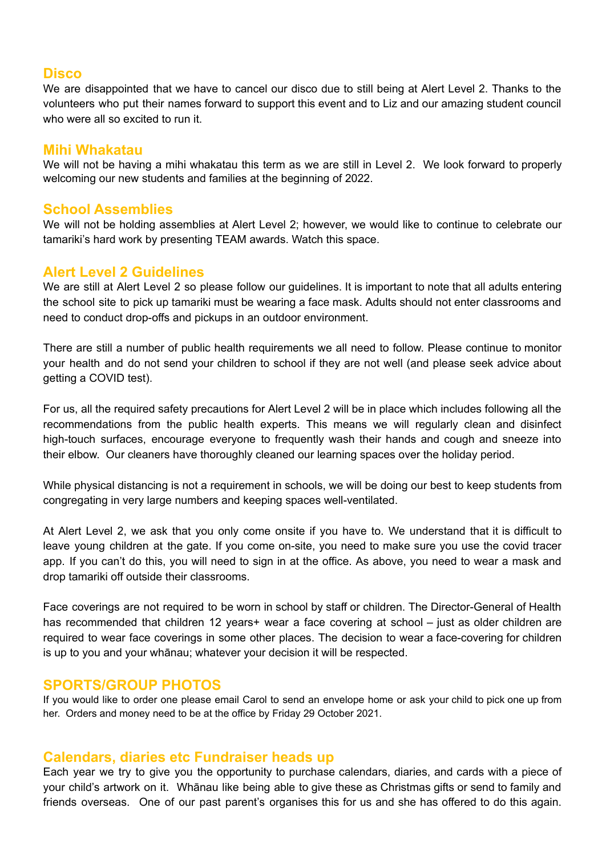#### **Disco**

We are disappointed that we have to cancel our disco due to still being at Alert Level 2. Thanks to the volunteers who put their names forward to support this event and to Liz and our amazing student council who were all so excited to run it.

#### **Mihi Whakatau**

We will not be having a mihi whakatau this term as we are still in Level 2. We look forward to properly welcoming our new students and families at the beginning of 2022.

#### **School Assemblies**

We will not be holding assemblies at Alert Level 2; however, we would like to continue to celebrate our tamariki's hard work by presenting TEAM awards. Watch this space.

#### **Alert Level 2 Guidelines**

We are still at Alert Level 2 so please follow our guidelines. It is important to note that all adults entering the school site to pick up tamariki must be wearing a face mask. Adults should not enter classrooms and need to conduct drop-offs and pickups in an outdoor environment.

There are still a number of public health requirements we all need to follow. Please continue to monitor your health and do not send your children to school if they are not well (and please seek advice about getting a COVID test).

For us, all the required safety precautions for Alert Level 2 will be in place which includes following all the recommendations from the public health experts. This means we will regularly clean and disinfect high-touch surfaces, encourage everyone to frequently wash their hands and cough and sneeze into their elbow. Our cleaners have thoroughly cleaned our learning spaces over the holiday period.

While physical distancing is not a requirement in schools, we will be doing our best to keep students from congregating in very large numbers and keeping spaces well-ventilated.

At Alert Level 2, we ask that you only come onsite if you have to. We understand that it is difficult to leave young children at the gate. If you come on-site, you need to make sure you use the covid tracer app. If you can't do this, you will need to sign in at the office. As above, you need to wear a mask and drop tamariki off outside their classrooms.

Face coverings are not required to be worn in school by staff or children. The Director-General of Health has recommended that children 12 years+ wear a face covering at school – just as older children are required to wear face coverings in some other places. The decision to wear a face-covering for children is up to you and your whānau; whatever your decision it will be respected.

#### **SPORTS/GROUP PHOTOS**

If you would like to order one please email Carol to send an envelope home or ask your child to pick one up from her. Orders and money need to be at the office by Friday 29 October 2021.

#### **Calendars, diaries etc Fundraiser heads up**

Each year we try to give you the opportunity to purchase calendars, diaries, and cards with a piece of your child's artwork on it. Whānau like being able to give these as Christmas gifts or send to family and friends overseas. One of our past parent's organises this for us and she has offered to do this again.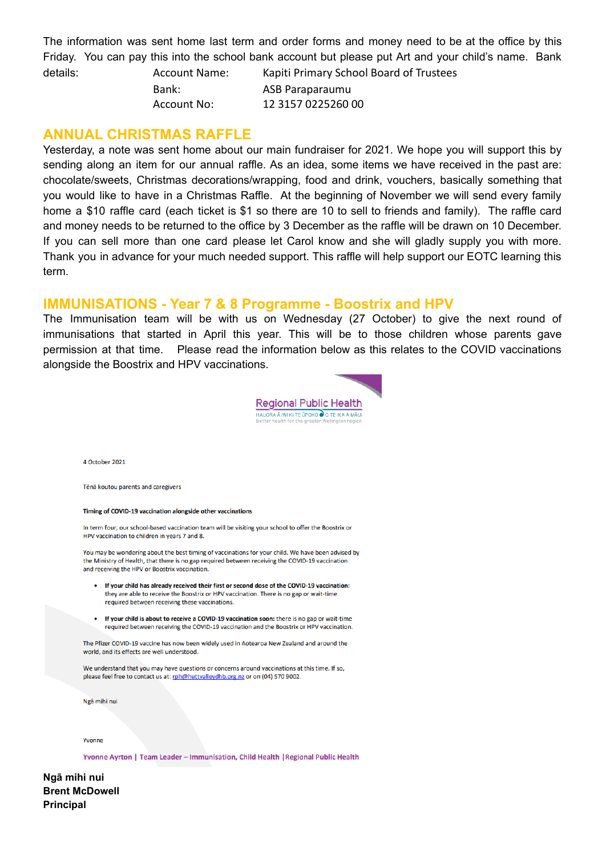The information was sent home last term and order forms and money need to be at the office by this Friday. You can pay this into the school bank account but please put Art and your child's name. Bank

details: Account Name: Kapiti Primary School Board of Trustees Bank: ASB Paraparaumu Account No: 12 3157 0225260 00

#### **ANNUAL CHRISTMAS RAFFLE**

Yesterday, a note was sent home about our main fundraiser for 2021. We hope you will support this by sending along an item for our annual raffle. As an idea, some items we have received in the past are: chocolate/sweets, Christmas decorations/wrapping, food and drink, vouchers, basically something that you would like to have in a Christmas Raffle. At the beginning of November we will send every family home a \$10 raffle card (each ticket is \$1 so there are 10 to sell to friends and family). The raffle card and money needs to be returned to the office by 3 December as the raffle will be drawn on 10 December. If you can sell more than one card please let Carol know and she will gladly supply you with more. Thank you in advance for your much needed support. This raffle will help support our EOTC learning this term.

#### **IMMUNISATIONS - Year 7 & 8 Programme - Boostrix and HPV**

The Immunisation team will be with us on Wednesday (27 October) to give the next round of immunisations that started in April this year. This will be to those children whose parents gave permission at that time. Please read the information below as this relates to the COVID vaccinations alongside the Boostrix and HPV vaccinations.



4 October 2021

Tēnā koutou parents and caregivers

#### Timing of COVID-19 vaccination alongside other vaccinations

In term four, our school-based vaccination team will be visiting your school to offer the Boostrix or HPV vaccination to children in years 7 and 8.

You may be wondering about the best timing of vaccinations for your child. We have been advised by the Ministry of Health, that there is no gap required between receiving the COVID-19 vaccination and receiving the HPV or Boostrix vaccination.

- If your child has already received their first or second dose of the COVID-19 vaccination: they are able to receive the Boostrix or HPV vaccination. There is no gap or wait-time required between receiving these vaccinations.
- If your child is about to receive a COVID-19 vaccination soon: there is no gap or wait-time required between receiving the COVID-19 vaccination and the Boostrix or HPV vaccination.

The Pfizer COVID-19 vaccine has now been widely used in Aotearoa New Zealand and around the world, and its effects are well understood.

We understand that you may have questions or concerns around vaccinations at this time. If so, please feel free to contact us at: rph@huttyalleydhb.org.nz or on (04) 570 9002.

Ngã mihi nui

Yvonne

Yvonne Ayrton | Team Leader - Immunisation, Child Health | Regional Public Health

**Ngā mihi nui Brent McDowell Principal**